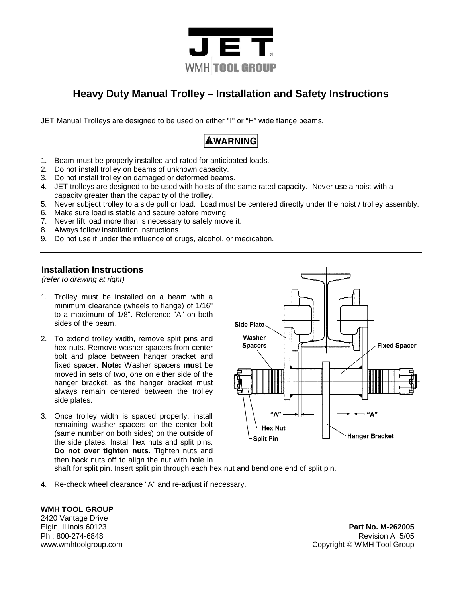

### **Heavy Duty Manual Trolley – Installation and Safety Instructions**

JET Manual Trolleys are designed to be used on either "Ι" or "H" wide flange beams.

## **AWARNING**

- 1. Beam must be properly installed and rated for anticipated loads.
- 2. Do not install trolley on beams of unknown capacity.
- 3. Do not install trolley on damaged or deformed beams.
- 4. JET trolleys are designed to be used with hoists of the same rated capacity. Never use a hoist with a capacity greater than the capacity of the trolley.
- 5. Never subject trolley to a side pull or load. Load must be centered directly under the hoist / trolley assembly.
- 6. Make sure load is stable and secure before moving.
- 7. Never lift load more than is necessary to safely move it.
- 8. Always follow installation instructions.
- 9. Do not use if under the influence of drugs, alcohol, or medication.

#### **Installation Instructions**

*(refer to drawing at right)* 

- 1. Trolley must be installed on a beam with a minimum clearance (wheels to flange) of 1/16" to a maximum of 1/8". Reference "A" on both sides of the beam.
- 2. To extend trolley width, remove split pins and hex nuts. Remove washer spacers from center bolt and place between hanger bracket and fixed spacer. **Note:** Washer spacers **must** be moved in sets of two, one on either side of the hanger bracket, as the hanger bracket must always remain centered between the trolley side plates.
- 3. Once trolley width is spaced properly, install remaining washer spacers on the center bolt (same number on both sides) on the outside of the side plates. Install hex nuts and split pins. **Do not over tighten nuts.** Tighten nuts and then back nuts off to align the nut with hole in



shaft for split pin. Insert split pin through each hex nut and bend one end of split pin.

4. Re-check wheel clearance "A" and re-adjust if necessary.

**WMH TOOL GROUP** 

2420 Vantage Drive

Elgin, Illinois 60123 **Part No. M-262005** Ph.: 800-274-6848 Revision A 5/05 www.wmhtoolgroup.com **Community** Copyright © WMH Tool Group